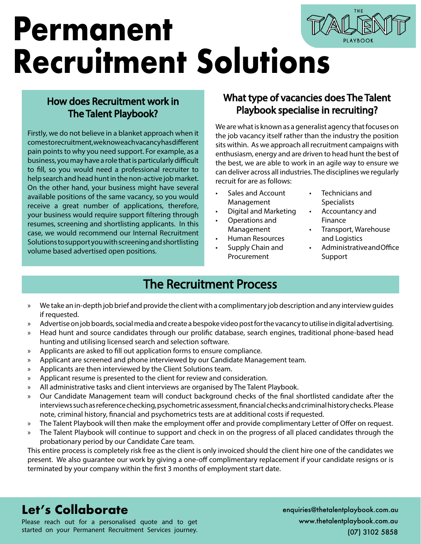# **Permanent Recruitment Solutions**

### How does Recruitment work in The Talent Playbook?

Firstly, we do not believe in a blanket approach when it comestorecruitment, we know each vacancy has different pain points to why you need support. For example, as a business, you may have a role that is particularly difficult to fill, so you would need a professional recruiter to help search and head hunt in the non-active job market. On the other hand, your business might have several available positions of the same vacancy, so you would receive a great number of applications, therefore, your business would require support filtering through resumes, screening and shortlisting applicants. In this case, we would recommend our Internal Recruitment Solutions to support you with screening and shortlisting volume based advertised open positions.

### What type of vacancies does The Talent Playbook specialise in recruiting?

We are what is known as a generalist agency that focuses on the job vacancy itself rather than the industry the position sits within. As we approach all recruitment campaigns with enthusiasm, energy and are driven to head hunt the best of the best, we are able to work in an agile way to ensure we can deliver across all industries. The disciplines we regularly recruit for are as follows:

- Sales and Account Management
- Digital and Marketing
- Operations and Management
- Human Resources
- Supply Chain and Procurement
- Technicians and **Specialists**
- Accountancy and Finance
- Transport, Warehouse and Logistics
- Administrative and Office Support

T H E

## The Recruitment Process

- » We take an in-depth job brief and provide the client with a complimentary job description and any interview guides if requested.
- » Advertise on job boards, social media and create a bespoke video post for the vacancy to utilise in digital advertising.
- » Head hunt and source candidates through our prolific database, search engines, traditional phone-based head hunting and utilising licensed search and selection software.
- » Applicants are asked to fill out application forms to ensure compliance.
- » Applicant are screened and phone interviewed by our Candidate Management team.
- » Applicants are then interviewed by the Client Solutions team.
- » Applicant resume is presented to the client for review and consideration.
- » All administrative tasks and client interviews are organised by The Talent Playbook.
- » Our Candidate Management team will conduct background checks of the final shortlisted candidate after the interviews such as reference checking, psychometric assessment, financial checks and criminal history checks. Please note, criminal history, financial and psychometrics tests are at additional costs if requested.
- » The Talent Playbook will then make the employment offer and provide complimentary Letter of Offer on request.
- » The Talent Playbook will continue to support and check in on the progress of all placed candidates through the probationary period by our Candidate Care team.

This entire process is completely risk free as the client is only invoiced should the client hire one of the candidates we present. We also guarantee our work by giving a one-off complimentary replacement if your candidate resigns or is terminated by your company within the first 3 months of employment start date.

## **Let's Collaborate** enquiries@thetalentplaybook.com.au

Please reach out for a personalised quote and to get started on your Permanent Recruitment Services journey. www.thetalentplaybook.com.au (07) 3102 5858